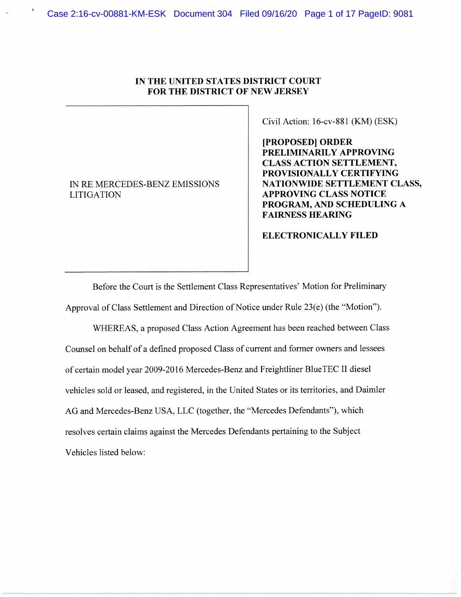## IN THE UNITED STATES DISTRICT COURT FOR THE DISTRICT OF NEW JERSEY

IN RE MERCEDES-BENZ EMISSIONS **LITIGATION** 

Civil Action: 16-cv-881 (KM) (ESK)

[PROPOSED] ORDER PRELIMINARILY APPROVING **CLASS ACTION SETTLEMENT,** PROVISIONALLY CERTIFYING NATIONWIDE SETTLEMENT CLASS, **APPROVING CLASS NOTICE** PROGRAM, AND SCHEDULING A **FAIRNESS HEARING** 

## **ELECTRONICALLY FILED**

Before the Court is the Settlement Class Representatives' Motion for Preliminary Approval of Class Settlement and Direction of Notice under Rule 23(e) (the "Motion").

WHEREAS, a proposed Class Action Agreement has been reached between Class Counsel on behalf of a defined proposed Class of current and former owners and lessees of certain model year 2009-2016 Mercedes-Benz and Freightliner BlueTEC II diesel vehicles sold or leased, and registered, in the United States or its territories, and Daimler AG and Mercedes-Benz USA, LLC (together, the "Mercedes Defendants"), which resolves certain claims against the Mercedes Defendants pertaining to the Subject Vehicles listed below: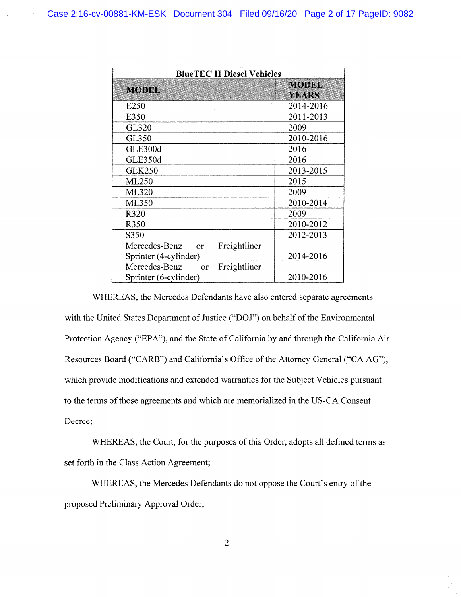$\mathbf{Y}$ 

| <b>BlueTEC II Diesel Vehicles</b>          |                              |  |
|--------------------------------------------|------------------------------|--|
| <b>MODEL</b>                               | <b>MODEL</b><br><b>YEARS</b> |  |
| E <sub>250</sub>                           | 2014-2016                    |  |
| E350                                       | 2011-2013                    |  |
| GL320                                      | 2009                         |  |
| GL350                                      | 2010-2016                    |  |
| GLE300d                                    | 2016                         |  |
| GLE350d                                    | 2016                         |  |
| <b>GLK250</b>                              | 2013-2015                    |  |
| ML250                                      | 2015                         |  |
| ML320                                      | 2009                         |  |
| ML350                                      | 2010-2014                    |  |
| R320                                       | 2009                         |  |
| R350                                       | 2010-2012                    |  |
| S350                                       | 2012-2013                    |  |
| Mercedes-Benz<br>Freightliner<br>or        |                              |  |
| Sprinter (4-cylinder)                      | 2014-2016                    |  |
| Mercedes-Benz<br>Freightliner<br><b>OT</b> |                              |  |
| Sprinter (6-cylinder)                      | 2010-2016                    |  |

WHEREAS, the Mercedes Defendants have also entered separate agreements with the United States Department of Justice ("DOJ") on behalf of the Environmental Protection Agency ("EPA"), and the State of California by and through the California Air Resources Board ("CARB") and California's Office of the Attorney General ("CA AG"), which provide modifications and extended warranties for the Subject Vehicles pursuant to the terms of those agreements and which are memorialized in the US-CA Consent Decree;

WHEREAS, the Court, for the purposes of this Order, adopts all defined terms as set forth in the Class Action Agreement;

WHEREAS, the Mercedes Defendants do not oppose the Court's entry of the proposed Preliminary Approval Order;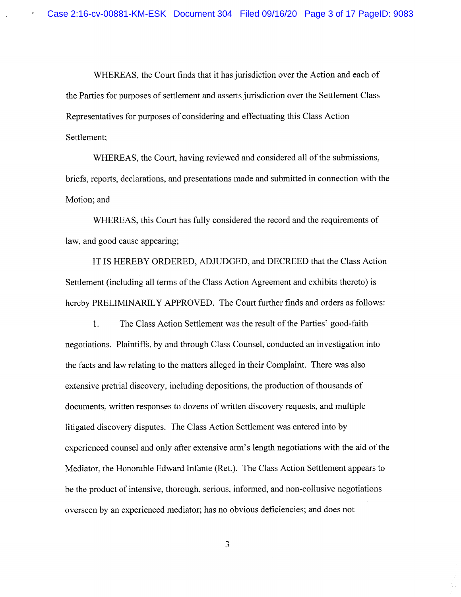WHEREAS, the Court finds that it has jurisdiction over the Action and each of the Parties for purposes of settlement and asserts jurisdiction over the Settlement Class Representatives for purposes of considering and effectuating this Class Action Settlement;

WHEREAS, the Court, having reviewed and considered all of the submissions, briefs, reports, declarations, and presentations made and submitted in connection with the Motion; and

WHEREAS, this Court has fully considered the record and the requirements of law, and good cause appearing;

IT IS HEREBY ORDERED, ADJUDGED, and DECREED that the Class Action Settlement (including all terms of the Class Action Agreement and exhibits thereto) is hereby PRELIMINARILY APPROVED. The Court further finds and orders as follows:

 $1.$ The Class Action Settlement was the result of the Parties' good-faith negotiations. Plaintiffs, by and through Class Counsel, conducted an investigation into the facts and law relating to the matters alleged in their Complaint. There was also extensive pretrial discovery, including depositions, the production of thousands of documents, written responses to dozens of written discovery requests, and multiple litigated discovery disputes. The Class Action Settlement was entered into by experienced counsel and only after extensive arm's length negotiations with the aid of the Mediator, the Honorable Edward Infante (Ret.). The Class Action Settlement appears to be the product of intensive, thorough, serious, informed, and non-collusive negotiations overseen by an experienced mediator; has no obvious deficiencies; and does not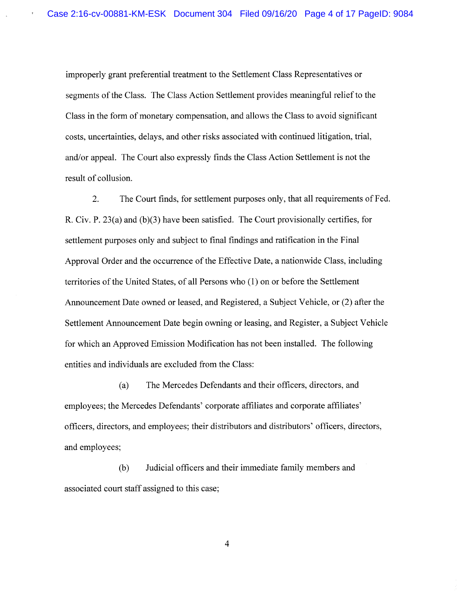improperly grant preferential treatment to the Settlement Class Representatives or segments of the Class. The Class Action Settlement provides meaningful relief to the Class in the form of monetary compensation, and allows the Class to avoid significant costs, uncertainties, delays, and other risks associated with continued litigation, trial, and/or appeal. The Court also expressly finds the Class Action Settlement is not the result of collusion.

 $2.$ The Court finds, for settlement purposes only, that all requirements of Fed. R. Civ. P.  $23(a)$  and  $(b)(3)$  have been satisfied. The Court provisionally certifies, for settlement purposes only and subject to final findings and ratification in the Final Approval Order and the occurrence of the Effective Date, a nationwide Class, including territories of the United States, of all Persons who (1) on or before the Settlement Announcement Date owned or leased, and Registered, a Subject Vehicle, or (2) after the Settlement Announcement Date begin owning or leasing, and Register, a Subject Vehicle for which an Approved Emission Modification has not been installed. The following entities and individuals are excluded from the Class:

 $(a)$ The Mercedes Defendants and their officers, directors, and employees; the Mercedes Defendants' corporate affiliates and corporate affiliates' officers, directors, and employees; their distributors and distributors' officers, directors, and employees;

Judicial officers and their immediate family members and  $(b)$ associated court staff assigned to this case;

 $\overline{4}$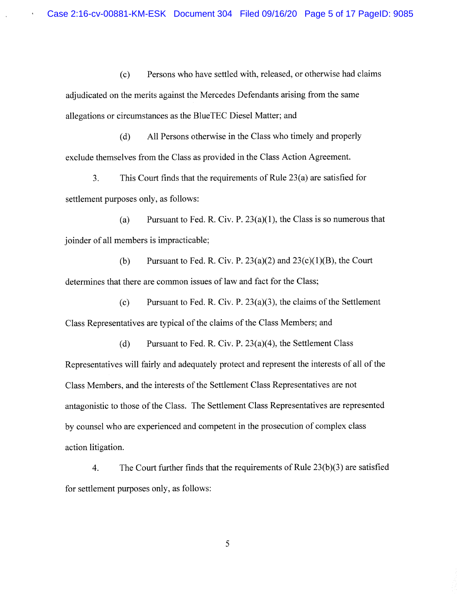$(c)$ Persons who have settled with, released, or otherwise had claims adjudicated on the merits against the Mercedes Defendants arising from the same allegations or circumstances as the BlueTEC Diesel Matter; and

 $(d)$ All Persons otherwise in the Class who timely and properly exclude themselves from the Class as provided in the Class Action Agreement.

This Court finds that the requirements of Rule  $23(a)$  are satisfied for 3. settlement purposes only, as follows:

 $(a)$ Pursuant to Fed. R. Civ. P.  $23(a)(1)$ , the Class is so numerous that joinder of all members is impracticable;

 $(b)$ Pursuant to Fed. R. Civ. P.  $23(a)(2)$  and  $23(c)(1)(B)$ , the Court determines that there are common issues of law and fact for the Class;

Pursuant to Fed. R. Civ. P.  $23(a)(3)$ , the claims of the Settlement  $(c)$ Class Representatives are typical of the claims of the Class Members; and

Pursuant to Fed. R. Civ. P.  $23(a)(4)$ , the Settlement Class  $(d)$ Representatives will fairly and adequately protect and represent the interests of all of the Class Members, and the interests of the Settlement Class Representatives are not antagonistic to those of the Class. The Settlement Class Representatives are represented by counsel who are experienced and competent in the prosecution of complex class action litigation.

The Court further finds that the requirements of Rule  $23(b)(3)$  are satisfied 4. for settlement purposes only, as follows: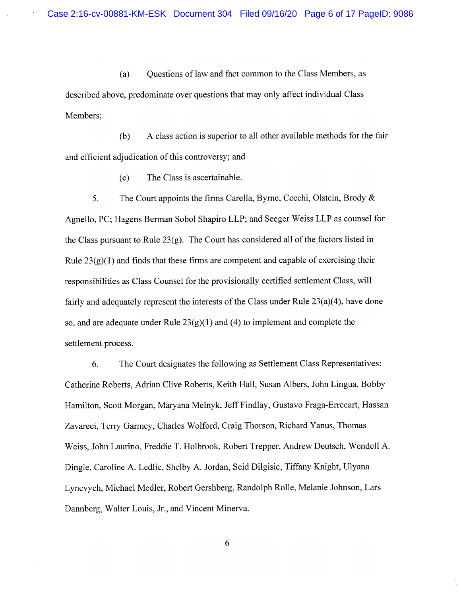$(a)$ Ouestions of law and fact common to the Class Members, as described above, predominate over questions that may only affect individual Class Members;

 $(b)$ A class action is superior to all other available methods for the fair and efficient adjudication of this controversy; and

> The Class is ascertainable.  $(c)$

5. The Court appoints the firms Carella, Byrne, Cecchi, Olstein, Brody & Agnello, PC; Hagens Berman Sobol Shapiro LLP; and Seeger Weiss LLP as counsel for the Class pursuant to Rule  $23(g)$ . The Court has considered all of the factors listed in Rule  $23(g)(1)$  and finds that these firms are competent and capable of exercising their responsibilities as Class Counsel for the provisionally certified settlement Class, will fairly and adequately represent the interests of the Class under Rule  $23(a)(4)$ , have done so, and are adequate under Rule  $23(g)(1)$  and (4) to implement and complete the settlement process.

The Court designates the following as Settlement Class Representatives: 6. Catherine Roberts, Adrian Clive Roberts, Keith Hall, Susan Albers, John Lingua, Bobby Hamilton, Scott Morgan, Maryana Melnyk, Jeff Findlay, Gustavo Fraga-Errecart, Hassan Zavareei, Terry Garmey, Charles Wolford, Craig Thorson, Richard Yanus, Thomas Weiss, John Laurino, Freddie T. Holbrook, Robert Trepper, Andrew Deutsch, Wendell A. Dingle, Caroline A. Ledlie, Shelby A. Jordan, Seid Dilgisic, Tiffany Knight, Ulyana Lynevych, Michael Medler, Robert Gershberg, Randolph Rolle, Melanie Johnson, Lars Dannberg, Walter Louis, Jr., and Vincent Minerva.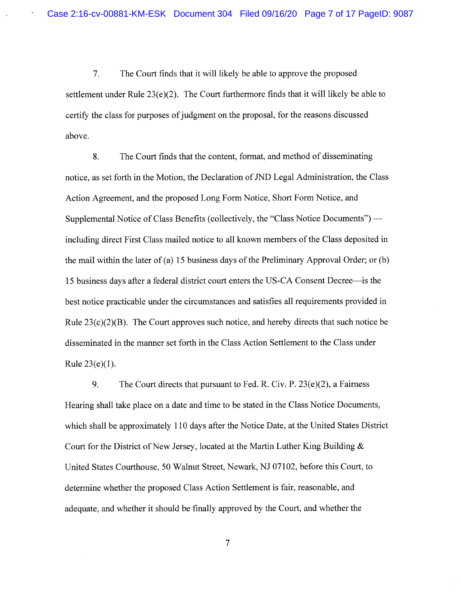$7.$ The Court finds that it will likely be able to approve the proposed settlement under Rule  $23(e)(2)$ . The Court furthermore finds that it will likely be able to certify the class for purposes of judgment on the proposal, for the reasons discussed above.

8. The Court finds that the content, format, and method of disseminating notice, as set forth in the Motion, the Declaration of JND Legal Administration, the Class Action Agreement, and the proposed Long Form Notice, Short Form Notice, and Supplemental Notice of Class Benefits (collectively, the "Class Notice Documents") including direct First Class mailed notice to all known members of the Class deposited in the mail within the later of (a) 15 business days of the Preliminary Approval Order; or (b) 15 business days after a federal district court enters the US-CA Consent Decree—is the best notice practicable under the circumstances and satisfies all requirements provided in Rule  $23(c)(2)(B)$ . The Court approves such notice, and hereby directs that such notice be disseminated in the manner set forth in the Class Action Settlement to the Class under Rule  $23(e)(1)$ .

9. The Court directs that pursuant to Fed. R. Civ. P.  $23(e)(2)$ , a Fairness Hearing shall take place on a date and time to be stated in the Class Notice Documents, which shall be approximately 110 days after the Notice Date, at the United States District Court for the District of New Jersey, located at the Martin Luther King Building  $\&$ United States Courthouse, 50 Walnut Street, Newark, NJ 07102, before this Court, to determine whether the proposed Class Action Settlement is fair, reasonable, and adequate, and whether it should be finally approved by the Court, and whether the

 $\tau$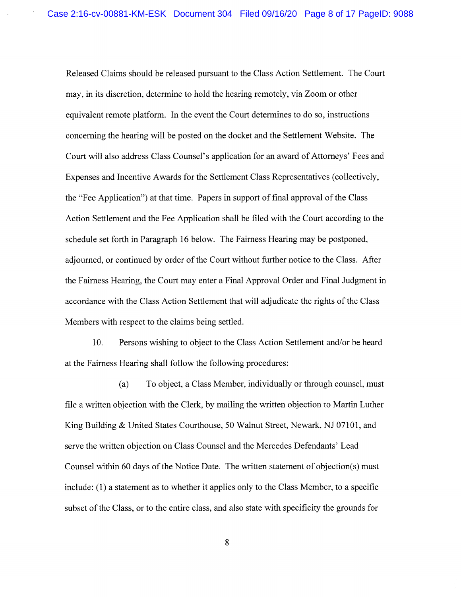Released Claims should be released pursuant to the Class Action Settlement. The Court may, in its discretion, determine to hold the hearing remotely, via Zoom or other equivalent remote platform. In the event the Court determines to do so, instructions concerning the hearing will be posted on the docket and the Settlement Website. The Court will also address Class Counsel's application for an award of Attorneys' Fees and Expenses and Incentive Awards for the Settlement Class Representatives (collectively, the "Fee Application") at that time. Papers in support of final approval of the Class Action Settlement and the Fee Application shall be filed with the Court according to the schedule set forth in Paragraph 16 below. The Fairness Hearing may be postponed, adjourned, or continued by order of the Court without further notice to the Class. After the Fairness Hearing, the Court may enter a Final Approval Order and Final Judgment in accordance with the Class Action Settlement that will adjudicate the rights of the Class Members with respect to the claims being settled.

10. Persons wishing to object to the Class Action Settlement and/or be heard at the Fairness Hearing shall follow the following procedures:

To object, a Class Member, individually or through counsel, must  $(a)$ file a written objection with the Clerk, by mailing the written objection to Martin Luther King Building & United States Courthouse, 50 Walnut Street, Newark, NJ 07101, and serve the written objection on Class Counsel and the Mercedes Defendants' Lead Counsel within 60 days of the Notice Date. The written statement of objection(s) must include: (1) a statement as to whether it applies only to the Class Member, to a specific subset of the Class, or to the entire class, and also state with specificity the grounds for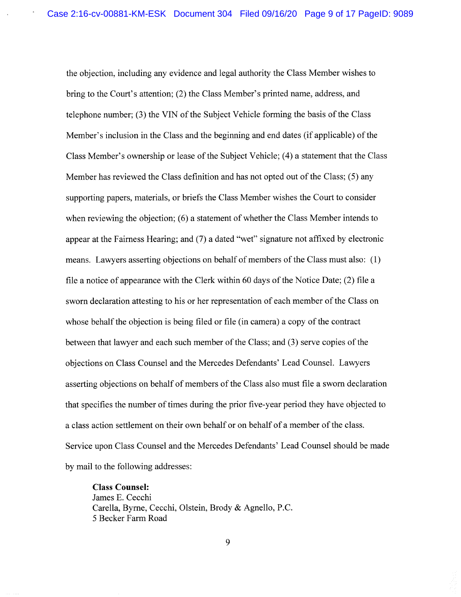the objection, including any evidence and legal authority the Class Member wishes to bring to the Court's attention; (2) the Class Member's printed name, address, and telephone number; (3) the VIN of the Subject Vehicle forming the basis of the Class Member's inclusion in the Class and the beginning and end dates (if applicable) of the Class Member's ownership or lease of the Subject Vehicle; (4) a statement that the Class Member has reviewed the Class definition and has not opted out of the Class; (5) any supporting papers, materials, or briefs the Class Member wishes the Court to consider when reviewing the objection; (6) a statement of whether the Class Member intends to appear at the Fairness Hearing; and (7) a dated "wet" signature not affixed by electronic means. Lawyers asserting objections on behalf of members of the Class must also: (1) file a notice of appearance with the Clerk within 60 days of the Notice Date; (2) file a sworn declaration attesting to his or her representation of each member of the Class on whose behalf the objection is being filed or file (in camera) a copy of the contract between that lawyer and each such member of the Class; and (3) serve copies of the objections on Class Counsel and the Mercedes Defendants' Lead Counsel. Lawyers asserting objections on behalf of members of the Class also must file a sworn declaration that specifies the number of times during the prior five-year period they have objected to a class action settlement on their own behalf or on behalf of a member of the class. Service upon Class Counsel and the Mercedes Defendants' Lead Counsel should be made by mail to the following addresses:

**Class Counsel:** James E. Cecchi Carella, Byrne, Cecchi, Olstein, Brody & Agnello, P.C. 5 Becker Farm Road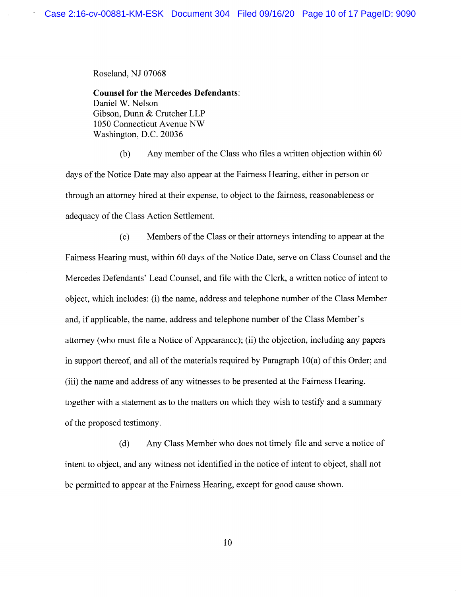Roseland, NJ 07068

**Counsel for the Mercedes Defendants:** Daniel W. Nelson Gibson, Dunn & Crutcher LLP 1050 Connecticut Avenue NW Washington, D.C. 20036

Any member of the Class who files a written objection within 60  $(b)$ days of the Notice Date may also appear at the Fairness Hearing, either in person or through an attorney hired at their expense, to object to the fairness, reasonableness or adequacy of the Class Action Settlement.

Members of the Class or their attorneys intending to appear at the  $(c)$ Fairness Hearing must, within 60 days of the Notice Date, serve on Class Counsel and the Mercedes Defendants' Lead Counsel, and file with the Clerk, a written notice of intent to object, which includes: (i) the name, address and telephone number of the Class Member and, if applicable, the name, address and telephone number of the Class Member's attorney (who must file a Notice of Appearance); (ii) the objection, including any papers in support thereof, and all of the materials required by Paragraph  $10(a)$  of this Order; and (iii) the name and address of any witnesses to be presented at the Fairness Hearing, together with a statement as to the matters on which they wish to testify and a summary of the proposed testimony.

Any Class Member who does not timely file and serve a notice of  $(d)$ intent to object, and any witness not identified in the notice of intent to object, shall not be permitted to appear at the Fairness Hearing, except for good cause shown.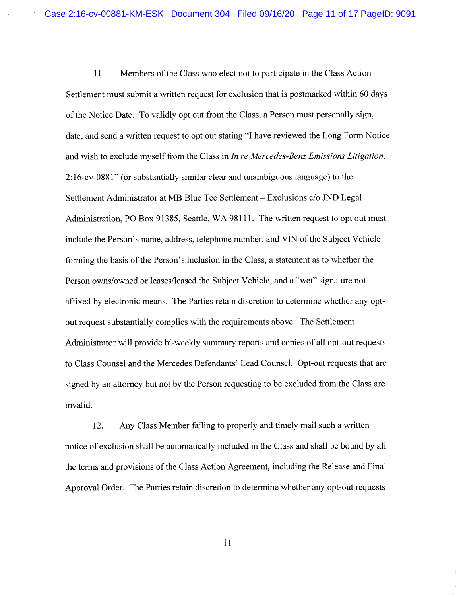Members of the Class who elect not to participate in the Class Action 11. Settlement must submit a written request for exclusion that is postmarked within 60 days of the Notice Date. To validly opt out from the Class, a Person must personally sign, date, and send a written request to opt out stating "I have reviewed the Long Form Notice and wish to exclude myself from the Class in In re Mercedes-Benz Emissions Litigation, 2:16-cv-0881" (or substantially similar clear and unambiguous language) to the Settlement Administrator at MB Blue Tec Settlement - Exclusions c/o JND Legal Administration, PO Box 91385, Seattle, WA 98111. The written request to opt out must include the Person's name, address, telephone number, and VIN of the Subject Vehicle forming the basis of the Person's inclusion in the Class, a statement as to whether the Person owns/owned or leases/leased the Subject Vehicle, and a "wet" signature not affixed by electronic means. The Parties retain discretion to determine whether any optout request substantially complies with the requirements above. The Settlement Administrator will provide bi-weekly summary reports and copies of all opt-out requests to Class Counsel and the Mercedes Defendants' Lead Counsel. Opt-out requests that are signed by an attorney but not by the Person requesting to be excluded from the Class are invalid.

Any Class Member failing to properly and timely mail such a written 12. notice of exclusion shall be automatically included in the Class and shall be bound by all the terms and provisions of the Class Action Agreement, including the Release and Final Approval Order. The Parties retain discretion to determine whether any opt-out requests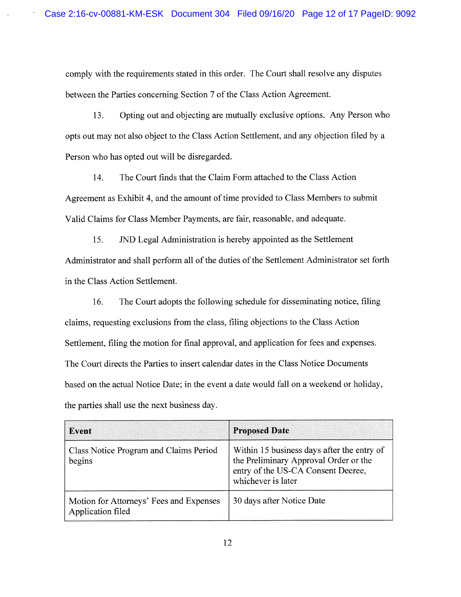comply with the requirements stated in this order. The Court shall resolve any disputes between the Parties concerning Section 7 of the Class Action Agreement.

Opting out and objecting are mutually exclusive options. Any Person who 13. opts out may not also object to the Class Action Settlement, and any objection filed by a Person who has opted out will be disregarded.

The Court finds that the Claim Form attached to the Class Action 14. Agreement as Exhibit 4, and the amount of time provided to Class Members to submit Valid Claims for Class Member Payments, are fair, reasonable, and adequate.

JND Legal Administration is hereby appointed as the Settlement 15. Administrator and shall perform all of the duties of the Settlement Administrator set forth in the Class Action Settlement.

The Court adopts the following schedule for disseminating notice, filing 16. claims, requesting exclusions from the class, filing objections to the Class Action Settlement, filing the motion for final approval, and application for fees and expenses. The Court directs the Parties to insert calendar dates in the Class Notice Documents based on the actual Notice Date; in the event a date would fall on a weekend or holiday, the parties shall use the next business day.

| Event                                                        | <b>Proposed Date</b>                                                                                                                            |
|--------------------------------------------------------------|-------------------------------------------------------------------------------------------------------------------------------------------------|
| Class Notice Program and Claims Period<br>begins             | Within 15 business days after the entry of<br>the Preliminary Approval Order or the<br>entry of the US-CA Consent Decree,<br>whichever is later |
| Motion for Attorneys' Fees and Expenses<br>Application filed | 30 days after Notice Date                                                                                                                       |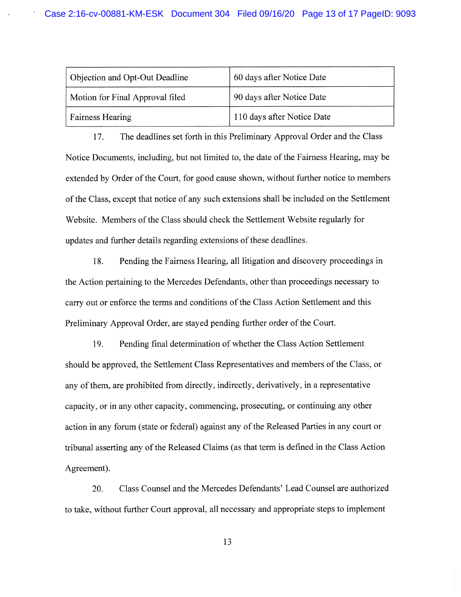| Objection and Opt-Out Deadline  | 60 days after Notice Date  |
|---------------------------------|----------------------------|
| Motion for Final Approval filed | 90 days after Notice Date  |
| <b>Fairness Hearing</b>         | 110 days after Notice Date |

17. The deadlines set forth in this Preliminary Approval Order and the Class Notice Documents, including, but not limited to, the date of the Fairness Hearing, may be extended by Order of the Court, for good cause shown, without further notice to members of the Class, except that notice of any such extensions shall be included on the Settlement Website. Members of the Class should check the Settlement Website regularly for updates and further details regarding extensions of these deadlines.

18. Pending the Fairness Hearing, all litigation and discovery proceedings in the Action pertaining to the Mercedes Defendants, other than proceedings necessary to carry out or enforce the terms and conditions of the Class Action Settlement and this Preliminary Approval Order, are stayed pending further order of the Court.

19. Pending final determination of whether the Class Action Settlement should be approved, the Settlement Class Representatives and members of the Class, or any of them, are prohibited from directly, indirectly, derivatively, in a representative capacity, or in any other capacity, commencing, prosecuting, or continuing any other action in any forum (state or federal) against any of the Released Parties in any court or tribunal asserting any of the Released Claims (as that term is defined in the Class Action Agreement).

Class Counsel and the Mercedes Defendants' Lead Counsel are authorized 20. to take, without further Court approval, all necessary and appropriate steps to implement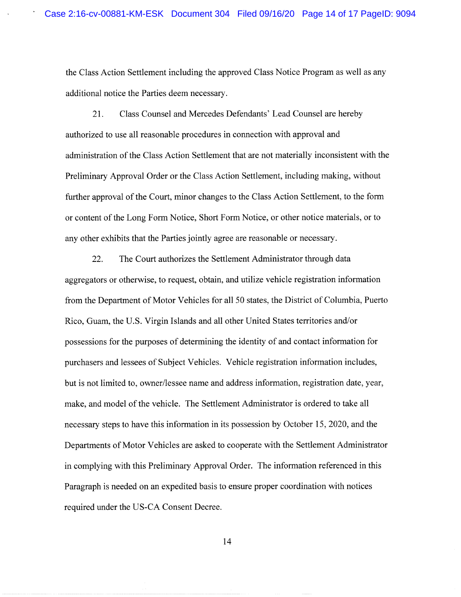the Class Action Settlement including the approved Class Notice Program as well as any additional notice the Parties deem necessary.

Class Counsel and Mercedes Defendants' Lead Counsel are hereby 21. authorized to use all reasonable procedures in connection with approval and administration of the Class Action Settlement that are not materially inconsistent with the Preliminary Approval Order or the Class Action Settlement, including making, without further approval of the Court, minor changes to the Class Action Settlement, to the form or content of the Long Form Notice, Short Form Notice, or other notice materials, or to any other exhibits that the Parties jointly agree are reasonable or necessary.

22. The Court authorizes the Settlement Administrator through data aggregators or otherwise, to request, obtain, and utilize vehicle registration information from the Department of Motor Vehicles for all 50 states, the District of Columbia, Puerto Rico, Guam, the U.S. Virgin Islands and all other United States territories and/or possessions for the purposes of determining the identity of and contact information for purchasers and lessees of Subject Vehicles. Vehicle registration information includes, but is not limited to, owner/lessee name and address information, registration date, year, make, and model of the vehicle. The Settlement Administrator is ordered to take all necessary steps to have this information in its possession by October 15, 2020, and the Departments of Motor Vehicles are asked to cooperate with the Settlement Administrator in complying with this Preliminary Approval Order. The information referenced in this Paragraph is needed on an expedited basis to ensure proper coordination with notices required under the US-CA Consent Decree.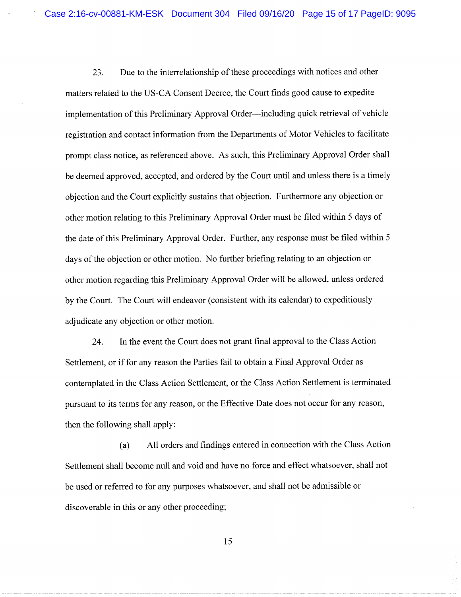Due to the interrelationship of these proceedings with notices and other 23. matters related to the US-CA Consent Decree, the Court finds good cause to expedite implementation of this Preliminary Approval Order—including quick retrieval of vehicle registration and contact information from the Departments of Motor Vehicles to facilitate prompt class notice, as referenced above. As such, this Preliminary Approval Order shall be deemed approved, accepted, and ordered by the Court until and unless there is a timely objection and the Court explicitly sustains that objection. Furthermore any objection or other motion relating to this Preliminary Approval Order must be filed within 5 days of the date of this Preliminary Approval Order. Further, any response must be filed within 5 days of the objection or other motion. No further briefing relating to an objection or other motion regarding this Preliminary Approval Order will be allowed, unless ordered by the Court. The Court will endeavor (consistent with its calendar) to expeditiously adjudicate any objection or other motion.

In the event the Court does not grant final approval to the Class Action 24. Settlement, or if for any reason the Parties fail to obtain a Final Approval Order as contemplated in the Class Action Settlement, or the Class Action Settlement is terminated pursuant to its terms for any reason, or the Effective Date does not occur for any reason, then the following shall apply:

All orders and findings entered in connection with the Class Action  $(a)$ Settlement shall become null and void and have no force and effect whatsoever, shall not be used or referred to for any purposes whatsoever, and shall not be admissible or discoverable in this or any other proceeding;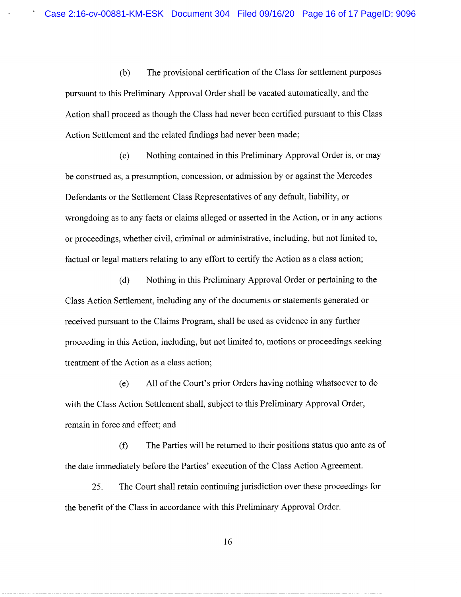$(b)$ The provisional certification of the Class for settlement purposes pursuant to this Preliminary Approval Order shall be vacated automatically, and the Action shall proceed as though the Class had never been certified pursuant to this Class Action Settlement and the related findings had never been made;

Nothing contained in this Preliminary Approval Order is, or may  $(c)$ be construed as, a presumption, concession, or admission by or against the Mercedes Defendants or the Settlement Class Representatives of any default, liability, or wrongdoing as to any facts or claims alleged or asserted in the Action, or in any actions or proceedings, whether civil, criminal or administrative, including, but not limited to, factual or legal matters relating to any effort to certify the Action as a class action;

Nothing in this Preliminary Approval Order or pertaining to the  $(d)$ Class Action Settlement, including any of the documents or statements generated or received pursuant to the Claims Program, shall be used as evidence in any further proceeding in this Action, including, but not limited to, motions or proceedings seeking treatment of the Action as a class action;

All of the Court's prior Orders having nothing whatsoever to do  $(e)$ with the Class Action Settlement shall, subject to this Preliminary Approval Order, remain in force and effect; and

The Parties will be returned to their positions status quo ante as of  $(f)$ the date immediately before the Parties' execution of the Class Action Agreement.

The Court shall retain continuing jurisdiction over these proceedings for 25. the benefit of the Class in accordance with this Preliminary Approval Order.